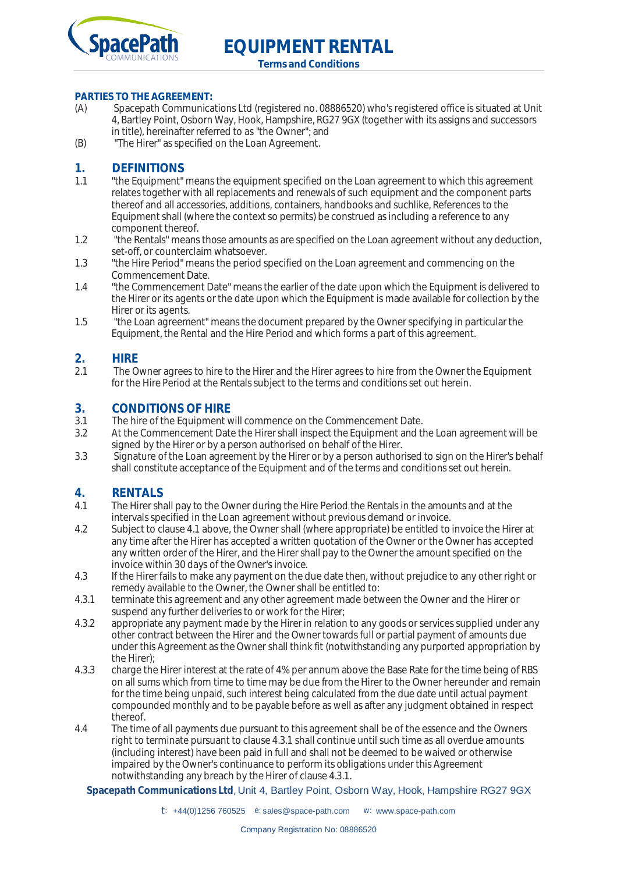

**Terms and Conditions**

# **PARTIES TO THE AGREEMENT:**<br>(A) Spacepath Communica

- Spacepath Communications Ltd (registered no. 08886520) who's registered office is situated at Unit 4, Bartley Point, Osborn Way, Hook, Hampshire, RG27 9GX (together with its assigns and successors in title), hereinafter referred to as "the Owner"; and
- (B) "The Hirer" as specified on the Loan Agreement.

## 1. **DEFINITIONS**<br>11 "the Faultoment"

- 1.1 "the Equipment" means the equipment specified on the Loan agreement to which this agreement relates together with all replacements and renewals of such equipment and the component parts thereof and all accessories, additions, containers, handbooks and suchlike, References to the Equipment shall (where the context so permits) be construed as including a reference to any component thereof.
- 1.2 "the Rentals" means those amounts as are specified on the Loan agreement without any deduction, set-off, or counterclaim whatsoever.
- 1.3 "the Hire Period" means the period specified on the Loan agreement and commencing on the Commencement Date.
- 1.4 "the Commencement Date" means the earlier of the date upon which the Equipment is delivered to the Hirer or its agents or the date upon which the Equipment is made available for collection by the Hirer or its agents.
- 1.5 "the Loan agreement" means the document prepared by the Owner specifying in particular the Equipment, the Rental and the Hire Period and which forms a part of this agreement.

## **2. HIRE**<br>21 The O

2.1 The Owner agrees to hire to the Hirer and the Hirer agrees to hire from the Owner the Equipment for the Hire Period at the Rentals subject to the terms and conditions set out herein.

#### **3. CONDITIONS OF HIRE**

- 3.1 The hire of the Equipment will commence on the Commencement Date.
- 3.2 At the Commencement Date the Hirer shall inspect the Equipment and the Loan agreement will be signed by the Hirer or by a person authorised on behalf of the Hirer.
- 3.3 Signature of the Loan agreement by the Hirer or by a person authorised to sign on the Hirer's behalf shall constitute acceptance of the Equipment and of the terms and conditions set out herein.

#### **4. RENTALS**

- 4.1 The Hirer shall pay to the Owner during the Hire Period the Rentals in the amounts and at the intervals specified in the Loan agreement without previous demand or invoice.
- 4.2 Subject to clause 4.1 above, the Owner shall (where appropriate) be entitled to invoice the Hirer at any time after the Hirer has accepted a written quotation of the Owner or the Owner has accepted any written order of the Hirer, and the Hirer shall pay to the Owner the amount specified on the invoice within 30 days of the Owner's invoice.
- 4.3 If the Hirer fails to make any payment on the due date then, without prejudice to any other right or remedy available to the Owner, the Owner shall be entitled to:
- 4.3.1 terminate this agreement and any other agreement made between the Owner and the Hirer or suspend any further deliveries to or work for the Hirer;
- 4.3.2 appropriate any payment made by the Hirer in relation to any goods or services supplied under any other contract between the Hirer and the Owner towards full or partial payment of amounts due under this Agreement as the Owner shall think fit (notwithstanding any purported appropriation by the Hirer);
- 4.3.3 charge the Hirer interest at the rate of 4% per annum above the Base Rate for the time being of RBS on all sums which from time to time may be due from the Hirer to the Owner hereunder and remain for the time being unpaid, such interest being calculated from the due date until actual payment compounded monthly and to be payable before as well as after any judgment obtained in respect thereof.
- 4.4 The time of all payments due pursuant to this agreement shall be of the essence and the Owners right to terminate pursuant to clause 4.3.1 shall continue until such time as all overdue amounts (including interest) have been paid in full and shall not be deemed to be waived or otherwise impaired by the Owner's continuance to perform its obligations under this Agreement notwithstanding any breach by the Hirer of clause 4.3.1.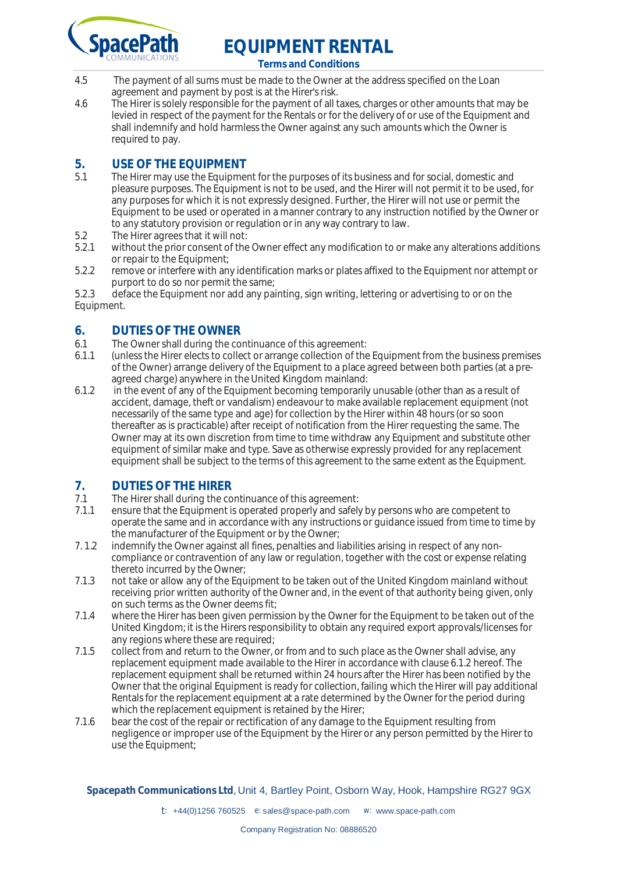

**Terms and Conditions**

- 4.5 The payment of all sums must be made to the Owner at the address specified on the Loan agreement and payment by post is at the Hirer's risk.
- 4.6 The Hirer is solely responsible for the payment of all taxes, charges or other amounts that may be levied in respect of the payment for the Rentals or for the delivery of or use of the Equipment and shall indemnify and hold harmless the Owner against any such amounts which the Owner is required to pay.

# **5. USE OF THE EQUIPMENT**<br>5.1 The Hirer may use the Equipment

- The Hirer may use the Equipment for the purposes of its business and for social, domestic and pleasure purposes. The Equipment is not to be used, and the Hirer will not permit it to be used, for any purposes for which it is not expressly designed. Further, the Hirer will not use or permit the Equipment to be used or operated in a manner contrary to any instruction notified by the Owner or to any statutory provision or regulation or in any way contrary to law.
- 5.2 The Hirer agrees that it will not:<br>5.2.1 without the prior consent of the
- without the prior consent of the Owner effect any modification to or make any alterations additions or repair to the Equipment:
- 5.2.2 remove or interfere with any identification marks or plates affixed to the Equipment nor attempt or purport to do so nor permit the same;
- 5.2.3 deface the Equipment nor add any painting, sign writing, lettering or advertising to or on the Equipment.

#### **6. DUTIES OF THE OWNER**

- 6.1 The Owner shall during the continuance of this agreement:<br>6.1.1 (unless the Hirer elects to collect or arrange collection of the
- 6.1.1 (unless the Hirer elects to collect or arrange collection of the Equipment from the business premises of the Owner) arrange delivery of the Equipment to a place agreed between both parties (at a preagreed charge) anywhere in the United Kingdom mainland:
- 6.1.2 in the event of any of the Equipment becoming temporarily unusable (other than as a result of accident, damage, theft or vandalism) endeavour to make available replacement equipment (not necessarily of the same type and age) for collection by the Hirer within 48 hours (or so soon thereafter as is practicable) after receipt of notification from the Hirer requesting the same. The Owner may at its own discretion from time to time withdraw any Equipment and substitute other equipment of similar make and type. Save as otherwise expressly provided for any replacement equipment shall be subject to the terms of this agreement to the same extent as the Equipment.

## **7. DUTIES OF THE HIRER**<br>**7.1** The Hirer shall during the co

- 7.1 The Hirer shall during the continuance of this agreement:<br>7.1.1 ensure that the Equipment is operated properly and safely
- ensure that the Equipment is operated properly and safely by persons who are competent to operate the same and in accordance with any instructions or guidance issued from time to time by the manufacturer of the Equipment or by the Owner;
- 7. 1.2 indemnify the Owner against all fines, penalties and liabilities arising in respect of any noncompliance or contravention of any law or regulation, together with the cost or expense relating thereto incurred by the Owner;
- 7.1.3 not take or allow any of the Equipment to be taken out of the United Kingdom mainland without receiving prior written authority of the Owner and, in the event of that authority being given, only on such terms as the Owner deems fit;
- 7.1.4 where the Hirer has been given permission by the Owner for the Equipment to be taken out of the United Kingdom; it is the Hirers responsibility to obtain any required export approvals/licenses for any regions where these are required;
- 7.1.5 collect from and return to the Owner, or from and to such place as the Owner shall advise, any replacement equipment made available to the Hirer in accordance with clause 6.1.2 hereof. The replacement equipment shall be returned within 24 hours after the Hirer has been notified by the Owner that the original Equipment is ready for collection, failing which the Hirer will pay additional Rentals for the replacement equipment at a rate determined by the Owner for the period during which the replacement equipment is retained by the Hirer;
- 7.1.6 bear the cost of the repair or rectification of any damage to the Equipment resulting from negligence or improper use of the Equipment by the Hirer or any person permitted by the Hirer to use the Equipment;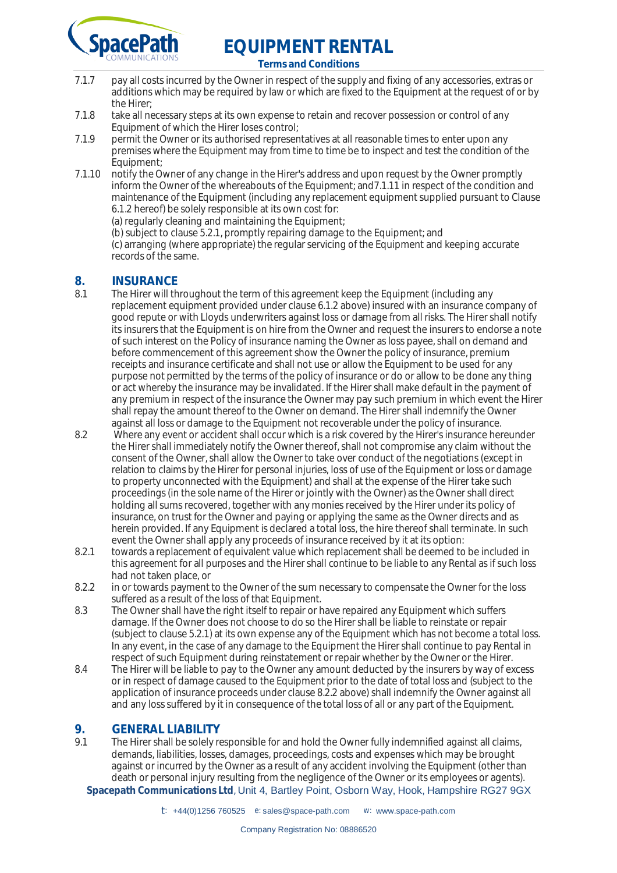

**Terms and Conditions**

- 7.1.7 pay all costs incurred by the Owner in respect of the supply and fixing of any accessories, extras or additions which may be required by law or which are fixed to the Equipment at the request of or by the Hirer;
- 7.1.8 take all necessary steps at its own expense to retain and recover possession or control of any Equipment of which the Hirer loses control;
- 7.1.9 permit the Owner or its authorised representatives at all reasonable times to enter upon any premises where the Equipment may from time to time be to inspect and test the condition of the Equipment;
- 7.1.10 notify the Owner of any change in the Hirer's address and upon request by the Owner promptly inform the Owner of the whereabouts of the Equipment; and7.1.11 in respect of the condition and maintenance of the Equipment (including any replacement equipment supplied pursuant to Clause 6.1.2 hereof) be solely responsible at its own cost for:

(a) regularly cleaning and maintaining the Equipment;

(b) subject to clause 5.2.1, promptly repairing damage to the Equipment; and (c) arranging (where appropriate) the regular servicing of the Equipment and keeping accurate records of the same.

# **8. INSURANCE**<br>8.1 The Hirer will the

- The Hirer will throughout the term of this agreement keep the Equipment (including any replacement equipment provided under clause 6.1.2 above) insured with an insurance company of good repute or with Lloyds underwriters against loss or damage from all risks. The Hirer shall notify its insurers that the Equipment is on hire from the Owner and request the insurers to endorse a note of such interest on the Policy of insurance naming the Owner as loss payee, shall on demand and before commencement of this agreement show the Owner the policy of insurance, premium receipts and insurance certificate and shall not use or allow the Equipment to be used for any purpose not permitted by the terms of the policy of insurance or do or allow to be done any thing or act whereby the insurance may be invalidated. If the Hirer shall make default in the payment of any premium in respect of the insurance the Owner may pay such premium in which event the Hirer shall repay the amount thereof to the Owner on demand. The Hirer shall indemnify the Owner against all loss or damage to the Equipment not recoverable under the policy of insurance.
- 8.2 Where any event or accident shall occur which is a risk covered by the Hirer's insurance hereunder the Hirer shall immediately notify the Owner thereof, shall not compromise any claim without the consent of the Owner, shall allow the Owner to take over conduct of the negotiations (except in relation to claims by the Hirer for personal injuries, loss of use of the Equipment or loss or damage to property unconnected with the Equipment) and shall at the expense of the Hirer take such proceedings (in the sole name of the Hirer or jointly with the Owner) as the Owner shall direct holding all sums recovered, together with any monies received by the Hirer under its policy of insurance, on trust for the Owner and paying or applying the same as the Owner directs and as herein provided. If any Equipment is declared a total loss, the hire thereof shall terminate. In such event the Owner shall apply any proceeds of insurance received by it at its option:
- 8.2.1 towards a replacement of equivalent value which replacement shall be deemed to be included in this agreement for all purposes and the Hirer shall continue to be liable to any Rental as if such loss had not taken place, or
- 8.2.2 in or towards payment to the Owner of the sum necessary to compensate the Owner for the loss suffered as a result of the loss of that Equipment.
- 8.3 The Owner shall have the right itself to repair or have repaired any Equipment which suffers damage. If the Owner does not choose to do so the Hirer shall be liable to reinstate or repair (subject to clause 5.2.1) at its own expense any of the Equipment which has not become a total loss. In any event, in the case of any damage to the Equipment the Hirer shall continue to pay Rental in respect of such Equipment during reinstatement or repair whether by the Owner or the Hirer.
- 8.4 The Hirer will be liable to pay to the Owner any amount deducted by the insurers by way of excess or in respect of damage caused to the Equipment prior to the date of total loss and (subject to the application of insurance proceeds under clause 8.2.2 above) shall indemnify the Owner against all and any loss suffered by it in consequence of the total loss of all or any part of the Equipment.

# **9. GENERAL LIABILITY**<br>9.1 The Hirer shall be solely re

The Hirer shall be solely responsible for and hold the Owner fully indemnified against all claims, demands, liabilities, losses, damages, proceedings, costs and expenses which may be brought against or incurred by the Owner as a result of any accident involving the Equipment (other than death or personal injury resulting from the negligence of the Owner or its employees or agents).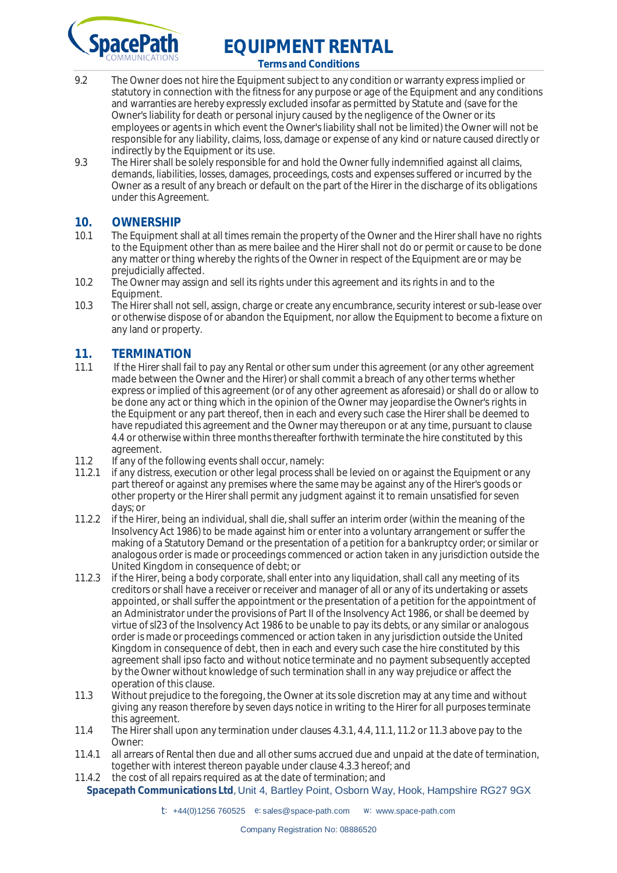

**Terms and Conditions**

- 9.2 The Owner does not hire the Equipment subject to any condition or warranty express implied or statutory in connection with the fitness for any purpose or age of the Equipment and any conditions and warranties are hereby expressly excluded insofar as permitted by Statute and (save for the Owner's liability for death or personal injury caused by the negligence of the Owner or its employees or agents in which event the Owner's liability shall not be limited) the Owner will not be responsible for any liability, claims, loss, damage or expense of any kind or nature caused directly or indirectly by the Equipment or its use.
- 9.3 The Hirer shall be solely responsible for and hold the Owner fully indemnified against all claims, demands, liabilities, losses, damages, proceedings, costs and expenses suffered or incurred by the Owner as a result of any breach or default on the part of the Hirer in the discharge of its obligations under this Agreement.

#### **10. OWNERSHIP**

- 10.1 The Equipment shall at all times remain the property of the Owner and the Hirer shall have no rights to the Equipment other than as mere bailee and the Hirer shall not do or permit or cause to be done any matter or thing whereby the rights of the Owner in respect of the Equipment are or may be prejudicially affected.
- 10.2 The Owner may assign and sell its rights under this agreement and its rights in and to the Equipment.
- 10.3 The Hirer shall not sell, assign, charge or create any encumbrance, security interest or sub-lease over or otherwise dispose of or abandon the Equipment, nor allow the Equipment to become a fixture on any land or property.

# **11. TERMINATION**<br>11.1 If the Hirer shall fail

- If the Hirer shall fail to pay any Rental or other sum under this agreement (or any other agreement made between the Owner and the Hirer) or shall commit a breach of any other terms whether express or implied of this agreement (or of any other agreement as aforesaid) or shall do or allow to be done any act or thing which in the opinion of the Owner may jeopardise the Owner's rights in the Equipment or any part thereof, then in each and every such case the Hirer shall be deemed to have repudiated this agreement and the Owner may thereupon or at any time, pursuant to clause 4.4 or otherwise within three months thereafter forthwith terminate the hire constituted by this agreement.
- 11.2 If any of the following events shall occur, namely:<br>11.2.1 If any distress execution or other legal process shall
- if any distress, execution or other legal process shall be levied on or against the Equipment or any part thereof or against any premises where the same may be against any of the Hirer's goods or other property or the Hirer shall permit any judgment against it to remain unsatisfied for seven days; or
- 11.2.2 if the Hirer, being an individual, shall die, shall suffer an interim order (within the meaning of the Insolvency Act 1986) to be made against him or enter into a voluntary arrangement or suffer the making of a Statutory Demand or the presentation of a petition for a bankruptcy order; or similar or analogous order is made or proceedings commenced or action taken in any jurisdiction outside the United Kingdom in consequence of debt; or
- 11.2.3 if the Hirer, being a body corporate, shall enter into any liquidation, shall call any meeting of its creditors or shall have a receiver or receiver and manager of all or any of its undertaking or assets appointed, or shall suffer the appointment or the presentation of a petition for the appointment of an Administrator under the provisions of Part II of the Insolvency Act 1986, or shall be deemed by virtue of sl23 of the Insolvency Act 1986 to be unable to pay its debts, or any similar or analogous order is made or proceedings commenced or action taken in any jurisdiction outside the United Kingdom in consequence of debt, then in each and every such case the hire constituted by this agreement shall ipso facto and without notice terminate and no payment subsequently accepted by the Owner without knowledge of such termination shall in any way prejudice or affect the operation of this clause.
- 11.3 Without prejudice to the foregoing, the Owner at its sole discretion may at any time and without giving any reason therefore by seven days notice in writing to the Hirer for all purposes terminate this agreement.
- 11.4 The Hirer shall upon any termination under clauses 4.3.1, 4.4, 11.1, 11.2 or 11.3 above pay to the Owner:
- 11.4.1 all arrears of Rental then due and all other sums accrued due and unpaid at the date of termination, together with interest thereon payable under clause 4.3.3 hereof; and
- 11.4.2 the cost of all repairs required as at the date of termination; and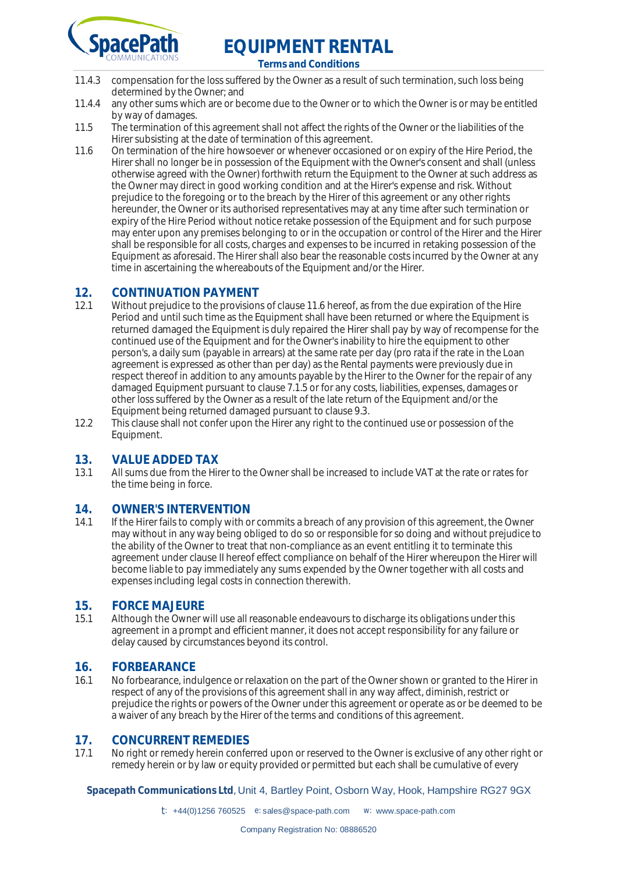

**Terms and Conditions**

- 11.4.3 compensation for the loss suffered by the Owner as a result of such termination, such loss being determined by the Owner; and
- 11.4.4 any other sums which are or become due to the Owner or to which the Owner is or may be entitled by way of damages.
- 11.5 The termination of this agreement shall not affect the rights of the Owner or the liabilities of the Hirer subsisting at the date of termination of this agreement.
- 11.6 On termination of the hire howsoever or whenever occasioned or on expiry of the Hire Period, the Hirer shall no longer be in possession of the Equipment with the Owner's consent and shall (unless otherwise agreed with the Owner) forthwith return the Equipment to the Owner at such address as the Owner may direct in good working condition and at the Hirer's expense and risk. Without prejudice to the foregoing or to the breach by the Hirer of this agreement or any other rights hereunder, the Owner or its authorised representatives may at any time after such termination or expiry of the Hire Period without notice retake possession of the Equipment and for such purpose may enter upon any premises belonging to or in the occupation or control of the Hirer and the Hirer shall be responsible for all costs, charges and expenses to be incurred in retaking possession of the Equipment as aforesaid. The Hirer shall also bear the reasonable costs incurred by the Owner at any time in ascertaining the whereabouts of the Equipment and/or the Hirer.

## **12. CONTINUATION PAYMENT**<br>12.1 Without prejudice to the provision

- Without prejudice to the provisions of clause 11.6 hereof, as from the due expiration of the Hire Period and until such time as the Equipment shall have been returned or where the Equipment is returned damaged the Equipment is duly repaired the Hirer shall pay by way of recompense for the continued use of the Equipment and for the Owner's inability to hire the equipment to other person's, a daily sum (payable in arrears) at the same rate per day (pro rata if the rate in the Loan agreement is expressed as other than per day) as the Rental payments were previously due in respect thereof in addition to any amounts payable by the Hirer to the Owner for the repair of any damaged Equipment pursuant to clause 7.1.5 or for any costs, liabilities, expenses, damages or other loss suffered by the Owner as a result of the late return of the Equipment and/or the Equipment being returned damaged pursuant to clause 9.3.
- 12.2 This clause shall not confer upon the Hirer any right to the continued use or possession of the Equipment.

## **13. VALUE ADDED TAX**<br>13.1 All sums due from the Hir

13.1 All sums due from the Hirer to the Owner shall be increased to include VAT at the rate or rates for the time being in force.

## **14. OWNER'S INTERVENTION**<br>14.1 If the Hirer fails to comply with of

If the Hirer fails to comply with or commits a breach of any provision of this agreement, the Owner may without in any way being obliged to do so or responsible for so doing and without prejudice to the ability of the Owner to treat that non-compliance as an event entitling it to terminate this agreement under clause II hereof effect compliance on behalf of the Hirer whereupon the Hirer will become liable to pay immediately any sums expended by the Owner together with all costs and expenses including legal costs in connection therewith.

# **15. FORCE MAJEURE**<br>15.1 Although the Owner v

Although the Owner will use all reasonable endeavours to discharge its obligations under this agreement in a prompt and efficient manner, it does not accept responsibility for any failure or delay caused by circumstances beyond its control.

#### **16. FORBEARANCE**

16.1 No forbearance, indulgence or relaxation on the part of the Owner shown or granted to the Hirer in respect of any of the provisions of this agreement shall in any way affect, diminish, restrict or prejudice the rights or powers of the Owner under this agreement or operate as or be deemed to be a waiver of any breach by the Hirer of the terms and conditions of this agreement.

#### **17. CONCURRENT REMEDIES**

17.1 No right or remedy herein conferred upon or reserved to the Owner is exclusive of any other right or remedy herein or by law or equity provided or permitted but each shall be cumulative of every

**Spacepath Communications Ltd**, Unit 4, Bartley Point, Osborn Way, Hook, Hampshire RG27 9GX

t: +44(0)1256 760525 e: [sales@space-path.com](mailto:sales@space-path.com) w: [www.space-path.com](http://www.space-path.com)